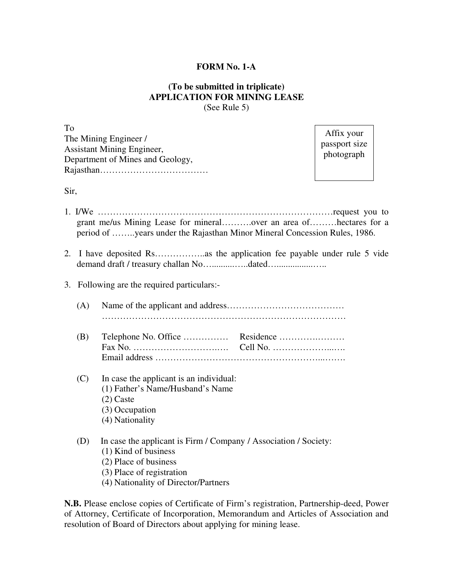## **FORM No. 1-A**

## **(To be submitted in triplicate) APPLICATION FOR MINING LEASE**  (See Rule 5)

To The Mining Engineer / Assistant Mining Engineer, Department of Mines and Geology, Rajasthan………………………………

Affix your passport size photograph

Sir,

- 1. I/We ……………………………………………………………………request you to grant me/us Mining Lease for mineral……….over an area of………hectares for a period of ……..years under the Rajasthan Minor Mineral Concession Rules, 1986.
- 2. I have deposited Rs……………..as the application fee payable under rule 5 vide demand draft / treasury challan No…................dated….......................
- 3. Following are the required particulars:-

(A) Name of the applicant and address………………………………… ………………………………………………………………………

- (B) Telephone No. Office …………… Residence ………….……… Fax No. ……………………….…. Cell No. ………………...…. Email address ………………………………………………...…….
- (C) In case the applicant is an individual: (1) Father's Name/Husband's Name (2) Caste (3) Occupation
	- (4) Nationality
- (D) In case the applicant is Firm / Company / Association / Society:
	- (1) Kind of business
	- (2) Place of business
	- (3) Place of registration
	- (4) Nationality of Director/Partners

**N.B.** Please enclose copies of Certificate of Firm's registration, Partnership-deed, Power of Attorney, Certificate of Incorporation, Memorandum and Articles of Association and resolution of Board of Directors about applying for mining lease.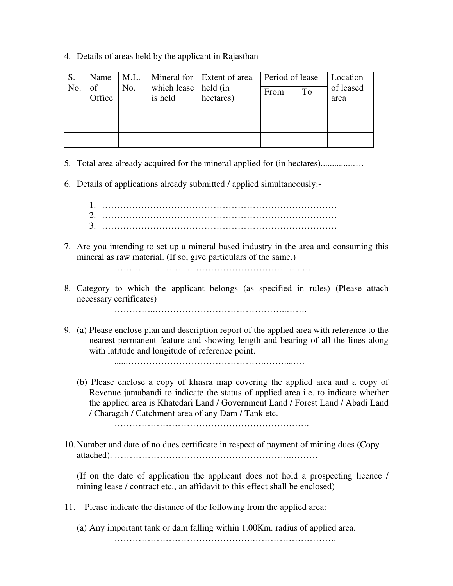## 4. Details of areas held by the applicant in Rajasthan

| S.  | Name         | M.L. |                                   | Mineral for Extent of area | Period of lease |    | Location          |
|-----|--------------|------|-----------------------------------|----------------------------|-----------------|----|-------------------|
| No. | of<br>Office | No.  | which lease   held (in<br>is held | hectares)                  | From            | To | of leased<br>area |
|     |              |      |                                   |                            |                 |    |                   |
|     |              |      |                                   |                            |                 |    |                   |
|     |              |      |                                   |                            |                 |    |                   |

5. Total area already acquired for the mineral applied for (in hectares)..............….

6. Details of applications already submitted / applied simultaneously:-

- 1. …………………………………………………………………… 2. …………………………………………………………………… 3. ……………………………………………………………………
- 7. Are you intending to set up a mineral based industry in the area and consuming this mineral as raw material. (If so, give particulars of the same.)

……………………………………………….……..…

8. Category to which the applicant belongs (as specified in rules) (Please attach necessary certificates)

…………..……………………………………..…….

9. (a) Please enclose plan and description report of the applied area with reference to the nearest permanent feature and showing length and bearing of all the lines along with latitude and longitude of reference point.

......……………………………………….……....….

 (b) Please enclose a copy of khasra map covering the applied area and a copy of Revenue jamabandi to indicate the status of applied area i.e. to indicate whether the applied area is Khatedari Land / Government Land / Forest Land / Abadi Land / Charagah / Catchment area of any Dam / Tank etc.

………………………………………………….…….

10. Number and date of no dues certificate in respect of payment of mining dues (Copy attached). …………………………………………………..………

(If on the date of application the applicant does not hold a prospecting licence / mining lease / contract etc., an affidavit to this effect shall be enclosed)

- 11. Please indicate the distance of the following from the applied area:
	- (a) Any important tank or dam falling within 1.00Km. radius of applied area.

……………………………………….……………………….